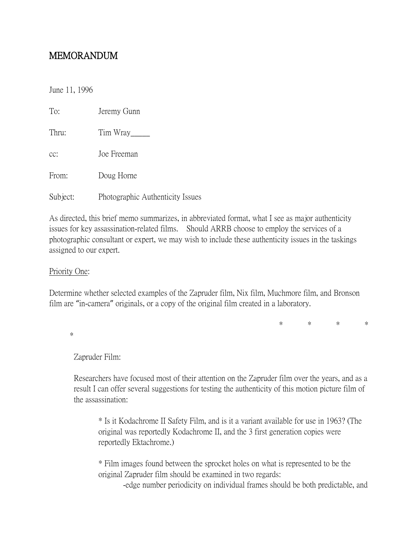# MEMORANDUM

June 11, 1996

| To:      | Jeremy Gunn                      |
|----------|----------------------------------|
| Thru:    | Tim Wray                         |
| cc:      | Joe Freeman                      |
| From:    | Doug Horne                       |
| Subject: | Photographic Authenticity Issues |

As directed, this brief memo summarizes, in abbreviated format, what I see as major authenticity issues for key assassination-related films. Should ARRB choose to employ the services of a photographic consultant or expert, we may wish to include these authenticity issues in the taskings assigned to our expert.

### Priority One:

Determine whether selected examples of the Zapruder film, Nix film, Muchmore film, and Bronson film are "in-camera" originals, or a copy of the original film created in a laboratory.

 \* \* \* \* \*

Zapruder Film:

Researchers have focused most of their attention on the Zapruder film over the years, and as a result I can offer several suggestions for testing the authenticity of this motion picture film of the assassination:

\* Is it Kodachrome II Safety Film, and is it a variant available for use in 1963? (The original was reportedly Kodachrome II, and the 3 first generation copies were reportedly Ektachrome.)

\* Film images found between the sprocket holes on what is represented to be the original Zapruder film should be examined in two regards:

-edge number periodicity on individual frames should be both predictable, and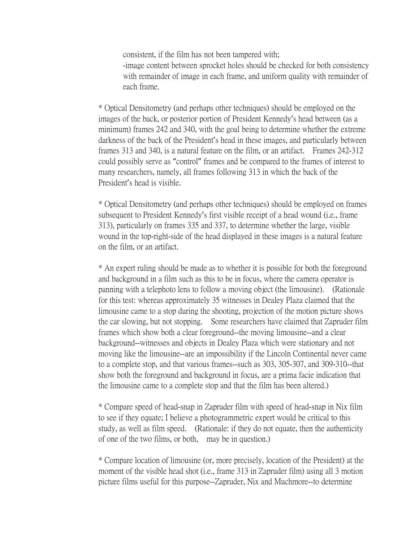consistent, if the film has not been tampered with; -image content between sprocket holes should be checked for both consistency with remainder of image in each frame, and uniform quality with remainder of each frame.

\* Optical Densitometry (and perhaps other techniques) should be employed on the images of the back, or posterior portion of President Kennedy's head between (as a minimum) frames 242 and 340, with the goal being to determine whether the extreme darkness of the back of the President's head in these images, and particularly between frames 313 and 340, is a natural feature on the film, or an artifact. Frames 242-312 could possibly serve as "control" frames and be compared to the frames of interest to many researchers, namely, all frames following 313 in which the back of the President's head is visible.

\* Optical Densitometry (and perhaps other techniques) should be employed on frames subsequent to President Kennedy's first visible receipt of a head wound (i.e., frame 313), particularly on frames 335 and 337, to determine whether the large, visible wound in the top-right-side of the head displayed in these images is a natural feature on the film, or an artifact.

\* An expert ruling should be made as to whether it is possible for both the foreground and background in a film such as this to be in focus, where the camera operator is panning with a telephoto lens to follow a moving object (the limousine). (Rationale for this test: whereas approximately 35 witnesses in Dealey Plaza claimed that the limousine came to a stop during the shooting, projection of the motion picture shows the car slowing, but not stopping. Some researchers have claimed that Zapruder film frames which show both a clear foreground--the moving limousine--and a clear background--witnesses and objects in Dealey Plaza which were stationary and not moving like the limousine--are an impossibility if the Lincoln Continental never came to a complete stop, and that various frames--such as 303, 305-307, and 309-310--that show both the foreground and background in focus, are a prima facie indication that the limousine came to a complete stop and that the film has been altered.)

\* Compare speed of head-snap in Zapruder film with speed of head-snap in Nix film to see if they equate; I believe a photogrammetric expert would be critical to this study, as well as film speed. (Rationale: if they do not equate, then the authenticity of one of the two films, or both, may be in question.)

\* Compare location of limousine (or, more precisely, location of the President) at the moment of the visible head shot (i.e., frame 313 in Zapruder film) using all 3 motion picture films useful for this purpose--Zapruder, Nix and Muchmore--to determine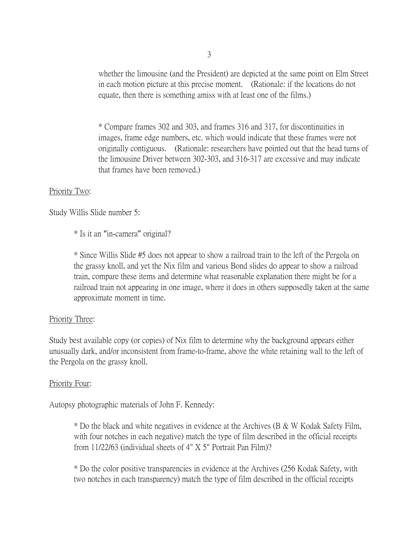whether the limousine (and the President) are depicted at the same point on Elm Street in each motion picture at this precise moment. (Rationale: if the locations do not equate, then there is something amiss with at least one of the films.)

\* Compare frames 302 and 303, and frames 316 and 317, for discontinuities in images, frame edge numbers, etc. which would indicate that these frames were not originally contiguous. (Rationale: researchers have pointed out that the head turns of the limousine Driver between 302-303, and 316-317 are excessive and may indicate that frames have been removed.)

#### Priority Two:

Study Willis Slide number 5:

\* Is it an "in-camera" original?

\* Since Willis Slide #5 does not appear to show a railroad train to the left of the Pergola on the grassy knoll, and yet the Nix film and various Bond slides do appear to show a railroad train, compare these items and determine what reasonable explanation there might be for a railroad train not appearing in one image, where it does in others supposedly taken at the same approximate moment in time.

## Priority Three:

Study best available copy (or copies) of Nix film to determine why the background appears either unusually dark, and/or inconsistent from frame-to-frame, above the white retaining wall to the left of the Pergola on the grassy knoll.

#### Priority Four:

Autopsy photographic materials of John F. Kennedy:

\* Do the black and white negatives in evidence at the Archives (B & W Kodak Safety Film, with four notches in each negative) match the type of film described in the official receipts from 11/22/63 (individual sheets of 4" X 5" Portrait Pan Film)?

\* Do the color positive transparencies in evidence at the Archives (256 Kodak Safety, with two notches in each transparency) match the type of film described in the official receipts